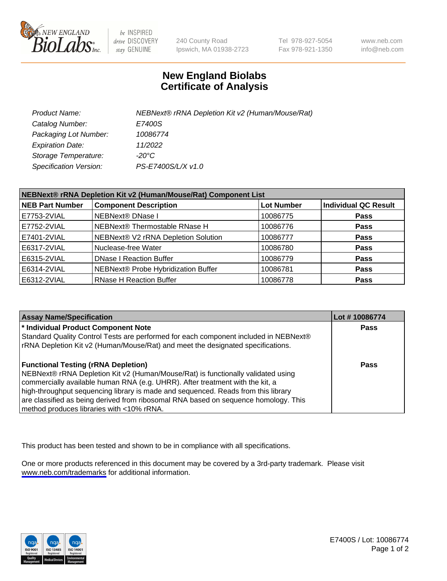

be INSPIRED drive DISCOVERY stay GENUINE

240 County Road Ipswich, MA 01938-2723 Tel 978-927-5054 Fax 978-921-1350

www.neb.com info@neb.com

## **New England Biolabs Certificate of Analysis**

| Product Name:           | NEBNext® rRNA Depletion Kit v2 (Human/Mouse/Rat) |
|-------------------------|--------------------------------------------------|
| Catalog Number:         | E7400S                                           |
| Packaging Lot Number:   | 10086774                                         |
| <b>Expiration Date:</b> | 11/2022                                          |
| Storage Temperature:    | -20°C                                            |
| Specification Version:  | PS-E7400S/L/X v1.0                               |

| NEBNext® rRNA Depletion Kit v2 (Human/Mouse/Rat) Component List |                                     |                   |                             |  |
|-----------------------------------------------------------------|-------------------------------------|-------------------|-----------------------------|--|
| <b>NEB Part Number</b>                                          | <b>Component Description</b>        | <b>Lot Number</b> | <b>Individual QC Result</b> |  |
| E7753-2VIAL                                                     | <b>NEBNext® DNase I</b>             | 10086775          | <b>Pass</b>                 |  |
| E7752-2VIAL                                                     | NEBNext® Thermostable RNase H       | 10086776          | <b>Pass</b>                 |  |
| E7401-2VIAL                                                     | NEBNext® V2 rRNA Depletion Solution | 10086777          | <b>Pass</b>                 |  |
| E6317-2VIAL                                                     | Nuclease-free Water                 | 10086780          | <b>Pass</b>                 |  |
| E6315-2VIAL                                                     | <b>DNase I Reaction Buffer</b>      | 10086779          | <b>Pass</b>                 |  |
| E6314-2VIAL                                                     | NEBNext® Probe Hybridization Buffer | 10086781          | <b>Pass</b>                 |  |
| E6312-2VIAL                                                     | <b>RNase H Reaction Buffer</b>      | 10086778          | <b>Pass</b>                 |  |

| <b>Assay Name/Specification</b>                                                      | Lot #10086774 |
|--------------------------------------------------------------------------------------|---------------|
| * Individual Product Component Note                                                  | <b>Pass</b>   |
| Standard Quality Control Tests are performed for each component included in NEBNext® |               |
| rRNA Depletion Kit v2 (Human/Mouse/Rat) and meet the designated specifications.      |               |
| <b>Functional Testing (rRNA Depletion)</b>                                           | Pass          |
| NEBNext® rRNA Depletion Kit v2 (Human/Mouse/Rat) is functionally validated using     |               |
| commercially available human RNA (e.g. UHRR). After treatment with the kit, a        |               |
| high-throughput sequencing library is made and sequenced. Reads from this library    |               |
| are classified as being derived from ribosomal RNA based on sequence homology. This  |               |
| method produces libraries with <10% rRNA.                                            |               |

This product has been tested and shown to be in compliance with all specifications.

One or more products referenced in this document may be covered by a 3rd-party trademark. Please visit <www.neb.com/trademarks>for additional information.